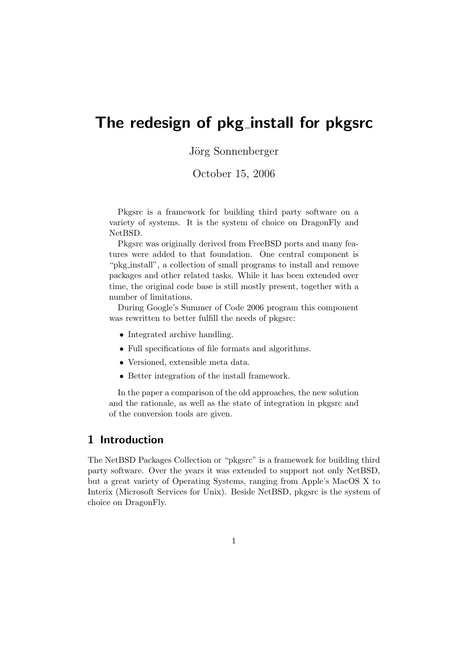# The redesign of pkg install for pkgsrc

# Jörg Sonnenberger

## October 15, 2006

Pkgsrc is a framework for building third party software on a variety of systems. It is the system of choice on DragonFly and NetBSD.

Pkgsrc was originally derived from FreeBSD ports and many features were added to that foundation. One central component is "pkg install", a collection of small programs to install and remove packages and other related tasks. While it has been extended over time, the original code base is still mostly present, together with a number of limitations.

During Google's Summer of Code 2006 program this component was rewritten to better fulfill the needs of pkgsrc:

- Integrated archive handling.
- Full specifications of file formats and algorithms.
- Versioned, extensible meta data.
- Better integration of the install framework.

In the paper a comparison of the old approaches, the new solution and the rationale, as well as the state of integration in pkgsrc and of the conversion tools are given.

## 1 Introduction

The NetBSD Packages Collection or "pkgsrc" is a framework for building third party software. Over the years it was extended to support not only NetBSD, but a great variety of Operating Systems, ranging from Apple's MacOS X to Interix (Microsoft Services for Unix). Beside NetBSD, pkgsrc is the system of choice on DragonFly.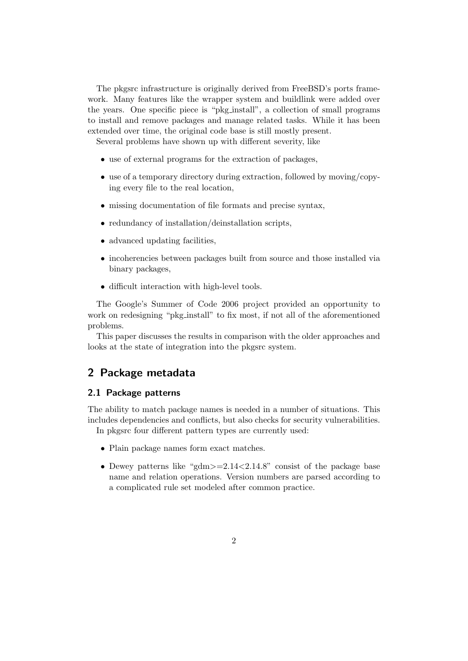The pkgsrc infrastructure is originally derived from FreeBSD's ports framework. Many features like the wrapper system and buildlink were added over the years. One specific piece is "pkg install", a collection of small programs to install and remove packages and manage related tasks. While it has been extended over time, the original code base is still mostly present.

Several problems have shown up with different severity, like

- use of external programs for the extraction of packages,
- use of a temporary directory during extraction, followed by moving/copying every file to the real location,
- missing documentation of file formats and precise syntax,
- redundancy of installation/deinstallation scripts,
- advanced updating facilities,
- incoherencies between packages built from source and those installed via binary packages,
- difficult interaction with high-level tools.

The Google's Summer of Code 2006 project provided an opportunity to work on redesigning "pkg install" to fix most, if not all of the aforementioned problems.

This paper discusses the results in comparison with the older approaches and looks at the state of integration into the pkgsrc system.

## 2 Package metadata

#### 2.1 Package patterns

The ability to match package names is needed in a number of situations. This includes dependencies and conflicts, but also checks for security vulnerabilities. In pkgsrc four different pattern types are currently used:

- Plain package names form exact matches.
- Dewey patterns like "gdm>= $2.14 \times 2.14.8$ " consist of the package base name and relation operations. Version numbers are parsed according to a complicated rule set modeled after common practice.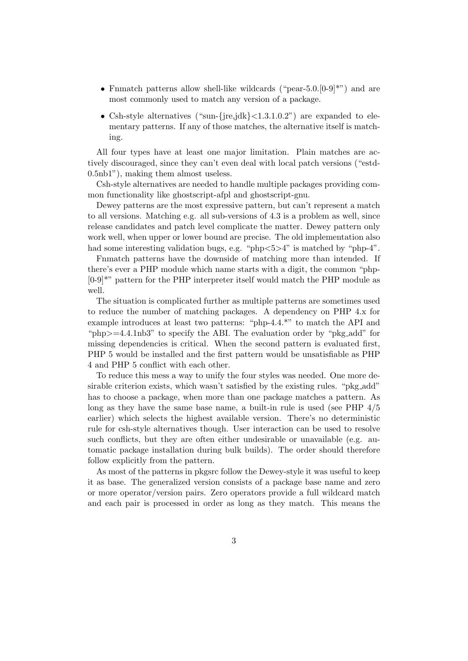- Fnmatch patterns allow shell-like wildcards ("pear-5.0. $[0-9]^{(*)}$ ") and are most commonly used to match any version of a package.
- Csh-style alternatives ("sun-{jre,jdk}  $\langle 1.3.1.0.2$ ") are expanded to elementary patterns. If any of those matches, the alternative itself is matching.

All four types have at least one major limitation. Plain matches are actively discouraged, since they can't even deal with local patch versions ("estd-0.5nb1"), making them almost useless.

Csh-style alternatives are needed to handle multiple packages providing common functionality like ghostscript-afpl and ghostscript-gnu.

Dewey patterns are the most expressive pattern, but can't represent a match to all versions. Matching e.g. all sub-versions of 4.3 is a problem as well, since release candidates and patch level complicate the matter. Dewey pattern only work well, when upper or lower bound are precise. The old implementation also had some interesting validation bugs, e.g. "php $<5>4$ " is matched by "php-4".

Fnmatch patterns have the downside of matching more than intended. If there's ever a PHP module which name starts with a digit, the common "php- [0-9]\*" pattern for the PHP interpreter itself would match the PHP module as well.

The situation is complicated further as multiple patterns are sometimes used to reduce the number of matching packages. A dependency on PHP 4.x for example introduces at least two patterns: "php-4.4.\*" to match the API and " $php>=4.4.1$ nb3" to specify the ABI. The evaluation order by " $pkg$ \_add" for missing dependencies is critical. When the second pattern is evaluated first, PHP 5 would be installed and the first pattern would be unsatisfiable as PHP 4 and PHP 5 conflict with each other.

To reduce this mess a way to unify the four styles was needed. One more desirable criterion exists, which wasn't satisfied by the existing rules. "pkg add" has to choose a package, when more than one package matches a pattern. As long as they have the same base name, a built-in rule is used (see PHP 4/5 earlier) which selects the highest available version. There's no deterministic rule for csh-style alternatives though. User interaction can be used to resolve such conflicts, but they are often either undesirable or unavailable (e.g. automatic package installation during bulk builds). The order should therefore follow explicitly from the pattern.

As most of the patterns in pkgsrc follow the Dewey-style it was useful to keep it as base. The generalized version consists of a package base name and zero or more operator/version pairs. Zero operators provide a full wildcard match and each pair is processed in order as long as they match. This means the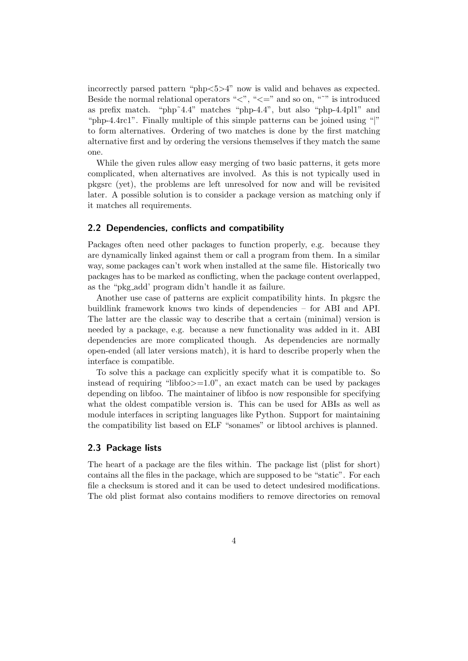incorrectly parsed pattern "php<5>4" now is valid and behaves as expected. Beside the normal relational operators " $\lt$ ", " $\lt =$ " and so on, "<sup>\*</sup>" is introduced as prefix match. "php˜4.4" matches "php-4.4", but also "php-4.4pl1" and "php-4.4rc1". Finally multiple of this simple patterns can be joined using "|" to form alternatives. Ordering of two matches is done by the first matching alternative first and by ordering the versions themselves if they match the same one.

While the given rules allow easy merging of two basic patterns, it gets more complicated, when alternatives are involved. As this is not typically used in pkgsrc (yet), the problems are left unresolved for now and will be revisited later. A possible solution is to consider a package version as matching only if it matches all requirements.

#### 2.2 Dependencies, conflicts and compatibility

Packages often need other packages to function properly, e.g. because they are dynamically linked against them or call a program from them. In a similar way, some packages can't work when installed at the same file. Historically two packages has to be marked as conflicting, when the package content overlapped, as the "pkg add' program didn't handle it as failure.

Another use case of patterns are explicit compatibility hints. In pkgsrc the buildlink framework knows two kinds of dependencies – for ABI and API. The latter are the classic way to describe that a certain (minimal) version is needed by a package, e.g. because a new functionality was added in it. ABI dependencies are more complicated though. As dependencies are normally open-ended (all later versions match), it is hard to describe properly when the interface is compatible.

To solve this a package can explicitly specify what it is compatible to. So instead of requiring "libfoo $>=1.0$ ", an exact match can be used by packages depending on libfoo. The maintainer of libfoo is now responsible for specifying what the oldest compatible version is. This can be used for ABIs as well as module interfaces in scripting languages like Python. Support for maintaining the compatibility list based on ELF "sonames" or libtool archives is planned.

#### 2.3 Package lists

The heart of a package are the files within. The package list (plist for short) contains all the files in the package, which are supposed to be "static". For each file a checksum is stored and it can be used to detect undesired modifications. The old plist format also contains modifiers to remove directories on removal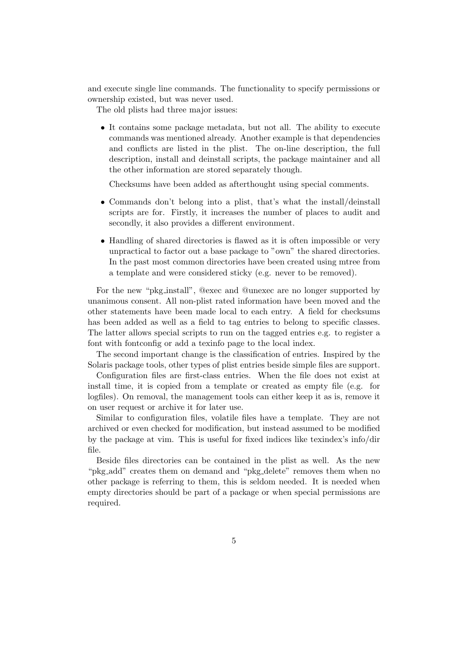and execute single line commands. The functionality to specify permissions or ownership existed, but was never used.

The old plists had three major issues:

• It contains some package metadata, but not all. The ability to execute commands was mentioned already. Another example is that dependencies and conflicts are listed in the plist. The on-line description, the full description, install and deinstall scripts, the package maintainer and all the other information are stored separately though.

Checksums have been added as afterthought using special comments.

- Commands don't belong into a plist, that's what the install/deinstall scripts are for. Firstly, it increases the number of places to audit and secondly, it also provides a different environment.
- Handling of shared directories is flawed as it is often impossible or very unpractical to factor out a base package to "own" the shared directories. In the past most common directories have been created using mtree from a template and were considered sticky (e.g. never to be removed).

For the new "pkg install", @exec and @unexec are no longer supported by unanimous consent. All non-plist rated information have been moved and the other statements have been made local to each entry. A field for checksums has been added as well as a field to tag entries to belong to specific classes. The latter allows special scripts to run on the tagged entries e.g. to register a font with fontconfig or add a texinfo page to the local index.

The second important change is the classification of entries. Inspired by the Solaris package tools, other types of plist entries beside simple files are support.

Configuration files are first-class entries. When the file does not exist at install time, it is copied from a template or created as empty file (e.g. for logfiles). On removal, the management tools can either keep it as is, remove it on user request or archive it for later use.

Similar to configuration files, volatile files have a template. They are not archived or even checked for modification, but instead assumed to be modified by the package at vim. This is useful for fixed indices like texindex's info/dir file.

Beside files directories can be contained in the plist as well. As the new "pkg add" creates them on demand and "pkg delete" removes them when no other package is referring to them, this is seldom needed. It is needed when empty directories should be part of a package or when special permissions are required.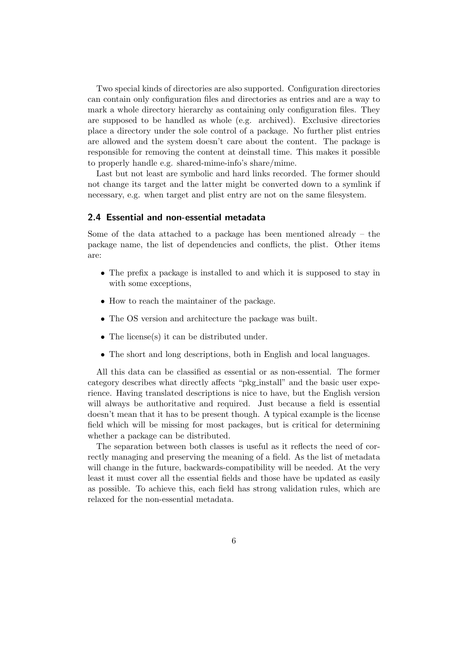Two special kinds of directories are also supported. Configuration directories can contain only configuration files and directories as entries and are a way to mark a whole directory hierarchy as containing only configuration files. They are supposed to be handled as whole (e.g. archived). Exclusive directories place a directory under the sole control of a package. No further plist entries are allowed and the system doesn't care about the content. The package is responsible for removing the content at deinstall time. This makes it possible to properly handle e.g. shared-mime-info's share/mime.

Last but not least are symbolic and hard links recorded. The former should not change its target and the latter might be converted down to a symlink if necessary, e.g. when target and plist entry are not on the same filesystem.

#### 2.4 Essential and non-essential metadata

Some of the data attached to a package has been mentioned already – the package name, the list of dependencies and conflicts, the plist. Other items are:

- The prefix a package is installed to and which it is supposed to stay in with some exceptions,
- How to reach the maintainer of the package.
- The OS version and architecture the package was built.
- The license(s) it can be distributed under.
- The short and long descriptions, both in English and local languages.

All this data can be classified as essential or as non-essential. The former category describes what directly affects "pkg install" and the basic user experience. Having translated descriptions is nice to have, but the English version will always be authoritative and required. Just because a field is essential doesn't mean that it has to be present though. A typical example is the license field which will be missing for most packages, but is critical for determining whether a package can be distributed.

The separation between both classes is useful as it reflects the need of correctly managing and preserving the meaning of a field. As the list of metadata will change in the future, backwards-compatibility will be needed. At the very least it must cover all the essential fields and those have be updated as easily as possible. To achieve this, each field has strong validation rules, which are relaxed for the non-essential metadata.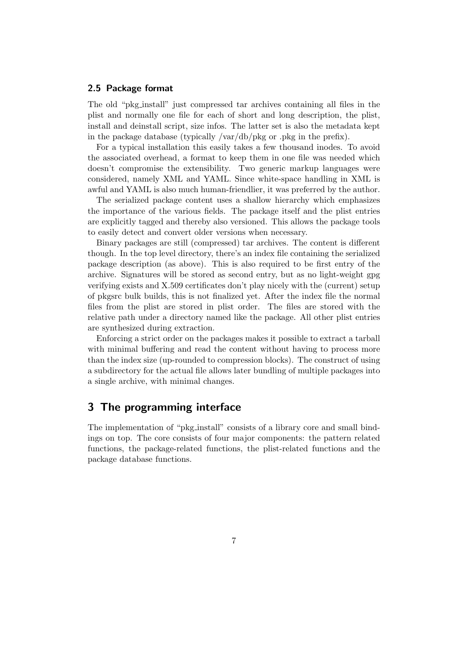#### 2.5 Package format

The old "pkg install" just compressed tar archives containing all files in the plist and normally one file for each of short and long description, the plist, install and deinstall script, size infos. The latter set is also the metadata kept in the package database (typically /var/db/pkg or .pkg in the prefix).

For a typical installation this easily takes a few thousand inodes. To avoid the associated overhead, a format to keep them in one file was needed which doesn't compromise the extensibility. Two generic markup languages were considered, namely XML and YAML. Since white-space handling in XML is awful and YAML is also much human-friendlier, it was preferred by the author.

The serialized package content uses a shallow hierarchy which emphasizes the importance of the various fields. The package itself and the plist entries are explicitly tagged and thereby also versioned. This allows the package tools to easily detect and convert older versions when necessary.

Binary packages are still (compressed) tar archives. The content is different though. In the top level directory, there's an index file containing the serialized package description (as above). This is also required to be first entry of the archive. Signatures will be stored as second entry, but as no light-weight gpg verifying exists and X.509 certificates don't play nicely with the (current) setup of pkgsrc bulk builds, this is not finalized yet. After the index file the normal files from the plist are stored in plist order. The files are stored with the relative path under a directory named like the package. All other plist entries are synthesized during extraction.

Enforcing a strict order on the packages makes it possible to extract a tarball with minimal buffering and read the content without having to process more than the index size (up-rounded to compression blocks). The construct of using a subdirectory for the actual file allows later bundling of multiple packages into a single archive, with minimal changes.

## 3 The programming interface

The implementation of "pkg install" consists of a library core and small bindings on top. The core consists of four major components: the pattern related functions, the package-related functions, the plist-related functions and the package database functions.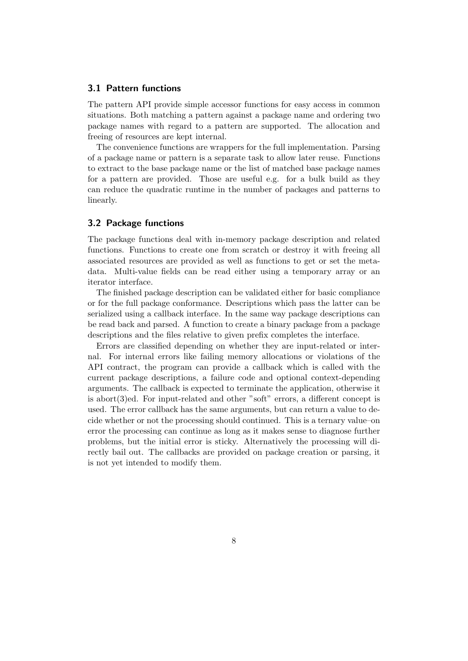#### 3.1 Pattern functions

The pattern API provide simple accessor functions for easy access in common situations. Both matching a pattern against a package name and ordering two package names with regard to a pattern are supported. The allocation and freeing of resources are kept internal.

The convenience functions are wrappers for the full implementation. Parsing of a package name or pattern is a separate task to allow later reuse. Functions to extract to the base package name or the list of matched base package names for a pattern are provided. Those are useful e.g. for a bulk build as they can reduce the quadratic runtime in the number of packages and patterns to linearly.

## 3.2 Package functions

The package functions deal with in-memory package description and related functions. Functions to create one from scratch or destroy it with freeing all associated resources are provided as well as functions to get or set the metadata. Multi-value fields can be read either using a temporary array or an iterator interface.

The finished package description can be validated either for basic compliance or for the full package conformance. Descriptions which pass the latter can be serialized using a callback interface. In the same way package descriptions can be read back and parsed. A function to create a binary package from a package descriptions and the files relative to given prefix completes the interface.

Errors are classified depending on whether they are input-related or internal. For internal errors like failing memory allocations or violations of the API contract, the program can provide a callback which is called with the current package descriptions, a failure code and optional context-depending arguments. The callback is expected to terminate the application, otherwise it is abort(3)ed. For input-related and other "soft" errors, a different concept is used. The error callback has the same arguments, but can return a value to decide whether or not the processing should continued. This is a ternary value–on error the processing can continue as long as it makes sense to diagnose further problems, but the initial error is sticky. Alternatively the processing will directly bail out. The callbacks are provided on package creation or parsing, it is not yet intended to modify them.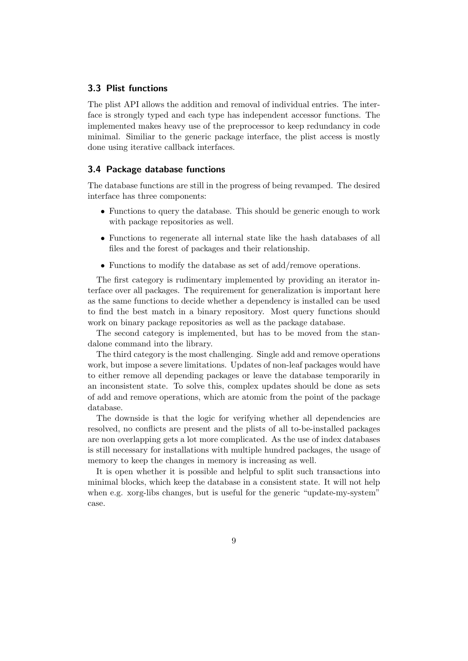#### 3.3 Plist functions

The plist API allows the addition and removal of individual entries. The interface is strongly typed and each type has independent accessor functions. The implemented makes heavy use of the preprocessor to keep redundancy in code minimal. Similiar to the generic package interface, the plist access is mostly done using iterative callback interfaces.

#### 3.4 Package database functions

The database functions are still in the progress of being revamped. The desired interface has three components:

- Functions to query the database. This should be generic enough to work with package repositories as well.
- Functions to regenerate all internal state like the hash databases of all files and the forest of packages and their relationship.
- Functions to modify the database as set of add/remove operations.

The first category is rudimentary implemented by providing an iterator interface over all packages. The requirement for generalization is important here as the same functions to decide whether a dependency is installed can be used to find the best match in a binary repository. Most query functions should work on binary package repositories as well as the package database.

The second category is implemented, but has to be moved from the standalone command into the library.

The third category is the most challenging. Single add and remove operations work, but impose a severe limitations. Updates of non-leaf packages would have to either remove all depending packages or leave the database temporarily in an inconsistent state. To solve this, complex updates should be done as sets of add and remove operations, which are atomic from the point of the package database.

The downside is that the logic for verifying whether all dependencies are resolved, no conflicts are present and the plists of all to-be-installed packages are non overlapping gets a lot more complicated. As the use of index databases is still necessary for installations with multiple hundred packages, the usage of memory to keep the changes in memory is increasing as well.

It is open whether it is possible and helpful to split such transactions into minimal blocks, which keep the database in a consistent state. It will not help when e.g. xorg-libs changes, but is useful for the generic "update-my-system" case.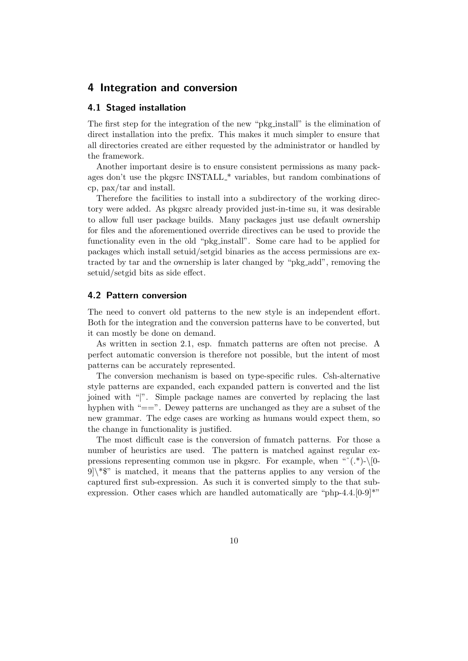## 4 Integration and conversion

#### 4.1 Staged installation

The first step for the integration of the new "pkg install" is the elimination of direct installation into the prefix. This makes it much simpler to ensure that all directories created are either requested by the administrator or handled by the framework.

Another important desire is to ensure consistent permissions as many packages don't use the pkgsrc INSTALL \* variables, but random combinations of cp, pax/tar and install.

Therefore the facilities to install into a subdirectory of the working directory were added. As pkgsrc already provided just-in-time su, it was desirable to allow full user package builds. Many packages just use default ownership for files and the aforementioned override directives can be used to provide the functionality even in the old "pkg install". Some care had to be applied for packages which install setuid/setgid binaries as the access permissions are extracted by tar and the ownership is later changed by "pkg add", removing the setuid/setgid bits as side effect.

## 4.2 Pattern conversion

The need to convert old patterns to the new style is an independent effort. Both for the integration and the conversion patterns have to be converted, but it can mostly be done on demand.

As written in section 2.1, esp. fnmatch patterns are often not precise. A perfect automatic conversion is therefore not possible, but the intent of most patterns can be accurately represented.

The conversion mechanism is based on type-specific rules. Csh-alternative style patterns are expanded, each expanded pattern is converted and the list joined with "|". Simple package names are converted by replacing the last hyphen with "==". Dewey patterns are unchanged as they are a subset of the new grammar. The edge cases are working as humans would expect them, so the change in functionality is justified.

The most difficult case is the conversion of fnmatch patterns. For those a number of heuristics are used. The pattern is matched against regular expressions representing common use in pkgsrc. For example, when " $(\cdot^*)$ - $\left[0-\right]$  $9$ |\\*\$" is matched, it means that the patterns applies to any version of the captured first sub-expression. As such it is converted simply to the that subexpression. Other cases which are handled automatically are "php-4.4.[0-9]\*"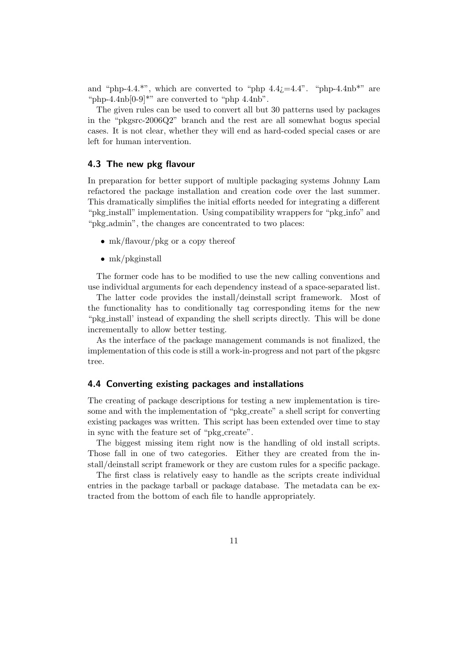and "php-4.4.\*", which are converted to "php  $4.4j=4.4$ ". "php-4.4nb<sup>\*"</sup> are "php-4.4nb $[0-9]$ <sup>\*"</sup> are converted to "php 4.4nb".

The given rules can be used to convert all but 30 patterns used by packages in the "pkgsrc-2006Q2" branch and the rest are all somewhat bogus special cases. It is not clear, whether they will end as hard-coded special cases or are left for human intervention.

#### 4.3 The new pkg flavour

In preparation for better support of multiple packaging systems Johnny Lam refactored the package installation and creation code over the last summer. This dramatically simplifies the initial efforts needed for integrating a different "pkg install" implementation. Using compatibility wrappers for "pkg info" and "pkg admin", the changes are concentrated to two places:

- mk/flavour/pkg or a copy thereof
- mk/pkginstall

The former code has to be modified to use the new calling conventions and use individual arguments for each dependency instead of a space-separated list.

The latter code provides the install/deinstall script framework. Most of the functionality has to conditionally tag corresponding items for the new "pkg install' instead of expanding the shell scripts directly. This will be done incrementally to allow better testing.

As the interface of the package management commands is not finalized, the implementation of this code is still a work-in-progress and not part of the pkgsrc tree.

#### 4.4 Converting existing packages and installations

The creating of package descriptions for testing a new implementation is tiresome and with the implementation of "pkg create" a shell script for converting existing packages was written. This script has been extended over time to stay in sync with the feature set of "pkg create".

The biggest missing item right now is the handling of old install scripts. Those fall in one of two categories. Either they are created from the install/deinstall script framework or they are custom rules for a specific package.

The first class is relatively easy to handle as the scripts create individual entries in the package tarball or package database. The metadata can be extracted from the bottom of each file to handle appropriately.